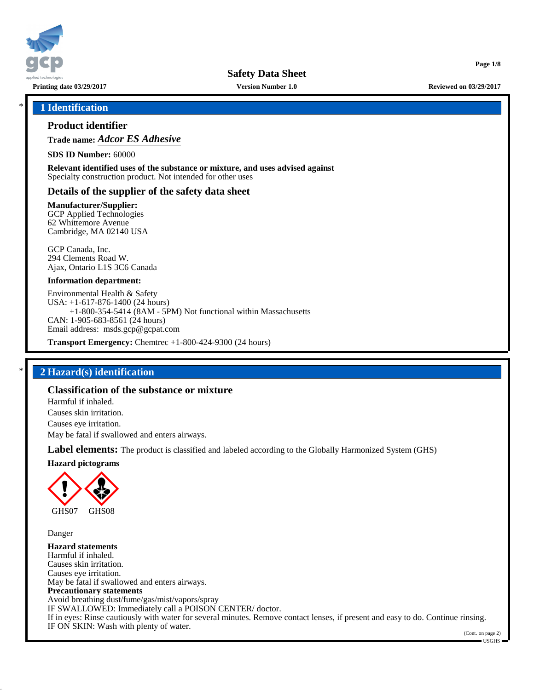

**Printing date 03/29/2017 Version Number 1.0 Reviewed on 03/29/2017**

**Page 1/8**

### \* **1 Identification**

### **Product identifier**

**Trade name:** *Adcor ES Adhesive*

**SDS ID Number:** 60000

**Relevant identified uses of the substance or mixture, and uses advised against** Specialty construction product. Not intended for other uses

### **Details of the supplier of the safety data sheet**

**Manufacturer/Supplier:**

GCP Applied Technologies 62 Whittemore Avenue Cambridge, MA 02140 USA

GCP Canada, Inc. 294 Clements Road W. Ajax, Ontario L1S 3C6 Canada

#### **Information department:**

Environmental Health & Safety USA: +1-617-876-1400 (24 hours) +1-800-354-5414 (8AM - 5PM) Not functional within Massachusetts CAN: 1-905-683-8561 (24 hours) Email address: msds.gcp@gcpat.com

**Transport Emergency:** Chemtrec +1-800-424-9300 (24 hours)

### \* **2 Hazard(s) identification**

### **Classification of the substance or mixture**

Harmful if inhaled. Causes skin irritation. Causes eye irritation. May be fatal if swallowed and enters airways.

**Label elements:** The product is classified and labeled according to the Globally Harmonized System (GHS)

**Hazard pictograms**



Danger

**Hazard statements** Harmful if inhaled. Causes skin irritation. Causes eye irritation. May be fatal if swallowed and enters airways. **Precautionary statements** Avoid breathing dust/fume/gas/mist/vapors/spray IF SWALLOWED: Immediately call a POISON CENTER/ doctor. If in eyes: Rinse cautiously with water for several minutes. Remove contact lenses, if present and easy to do. Continue rinsing. IF ON SKIN: Wash with plenty of water.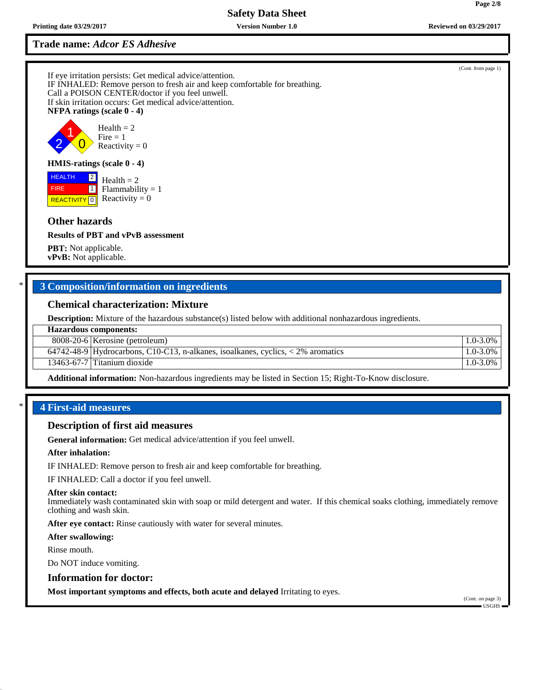**Trade name:** *Adcor ES Adhesive*

If eye irritation persists: Get medical advice/attention. IF INHALED: Remove person to fresh air and keep comfortable for breathing. Call a POISON CENTER/doctor if you feel unwell. If skin irritation occurs: Get medical advice/attention. **NFPA ratings (scale 0 - 4)**



## **HMIS-ratings (scale 0 - 4)**

 HEALTH FIRE **REACTIVITY** 0  $\boxed{2}$  $\Box$ Health  $= 2$  $Flammability = 1$ Reactivity  $= 0$ 

### **Other hazards**

#### **Results of PBT and vPvB assessment**

**PBT:** Not applicable. **vPvB:** Not applicable.

## \* **3 Composition/information on ingredients**

### **Chemical characterization: Mixture**

**Description:** Mixture of the hazardous substance(s) listed below with additional nonhazardous ingredients.

| <b>Hazardous components:</b> |                                                                                       |               |
|------------------------------|---------------------------------------------------------------------------------------|---------------|
|                              | 8008-20-6   Kerosine (petroleum)                                                      | $1.0 - 3.0\%$ |
|                              | 64742-48-9 Hydrocarbons, C10-C13, n-alkanes, isoalkanes, cyclics, $\lt 2\%$ aromatics | $1.0 - 3.0\%$ |
|                              | 13463-67-7 Titanium dioxide                                                           | $1.0 - 3.0\%$ |
|                              |                                                                                       |               |

**Additional information:** Non-hazardous ingredients may be listed in Section 15; Right-To-Know disclosure.

### \* **4 First-aid measures**

#### **Description of first aid measures**

**General information:** Get medical advice/attention if you feel unwell.

#### **After inhalation:**

IF INHALED: Remove person to fresh air and keep comfortable for breathing.

IF INHALED: Call a doctor if you feel unwell.

#### **After skin contact:**

Immediately wash contaminated skin with soap or mild detergent and water. If this chemical soaks clothing, immediately remove clothing and wash skin.

**After eye contact:** Rinse cautiously with water for several minutes.

**After swallowing:**

Rinse mouth.

Do NOT induce vomiting.

#### **Information for doctor:**

**Most important symptoms and effects, both acute and delayed** Irritating to eyes.

(Cont. on page 3) USGHS

(Cont. from page 1)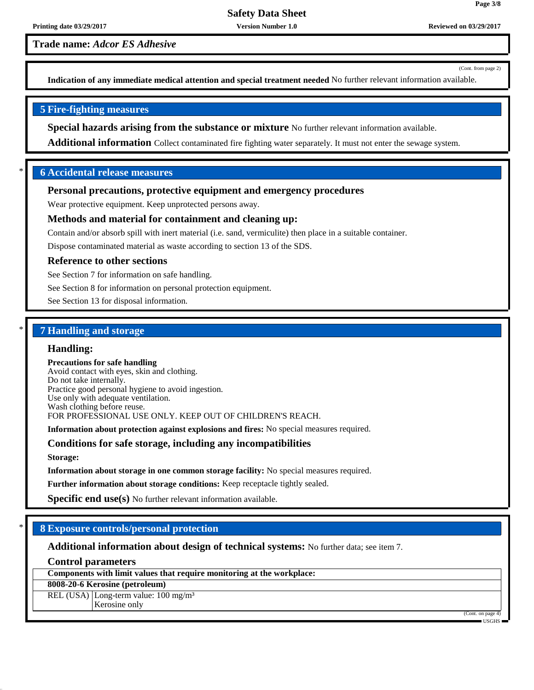**Trade name:** *Adcor ES Adhesive*

(Cont. from page 2)

**Page 3/8**

**Indication of any immediate medical attention and special treatment needed** No further relevant information available.

### **5 Fire-fighting measures**

**Special hazards arising from the substance or mixture** No further relevant information available.

**Additional information** Collect contaminated fire fighting water separately. It must not enter the sewage system.

### \* **6 Accidental release measures**

### **Personal precautions, protective equipment and emergency procedures**

Wear protective equipment. Keep unprotected persons away.

### **Methods and material for containment and cleaning up:**

Contain and/or absorb spill with inert material (i.e. sand, vermiculite) then place in a suitable container.

Dispose contaminated material as waste according to section 13 of the SDS.

### **Reference to other sections**

See Section 7 for information on safe handling.

See Section 8 for information on personal protection equipment.

See Section 13 for disposal information.

# \* **7 Handling and storage**

#### **Handling:**

#### **Precautions for safe handling**

Avoid contact with eyes, skin and clothing. Do not take internally. Practice good personal hygiene to avoid ingestion. Use only with adequate ventilation. Wash clothing before reuse. FOR PROFESSIONAL USE ONLY. KEEP OUT OF CHILDREN'S REACH.

**Information about protection against explosions and fires:** No special measures required.

### **Conditions for safe storage, including any incompatibilities**

**Storage:**

**Information about storage in one common storage facility:** No special measures required.

**Further information about storage conditions:** Keep receptacle tightly sealed.

**Specific end use(s)** No further relevant information available.

### \* **8 Exposure controls/personal protection**

**Additional information about design of technical systems:** No further data; see item 7.

## **Control parameters**

| Components with limit values that require monitoring at the workplace: |  |
|------------------------------------------------------------------------|--|
| 8008-20-6 Kerosine (petroleum)                                         |  |
| REL (USA) Long-term value: $100 \text{ mg/m}^3$                        |  |
| Kerosine only                                                          |  |

(Cont. on page 4) USGHS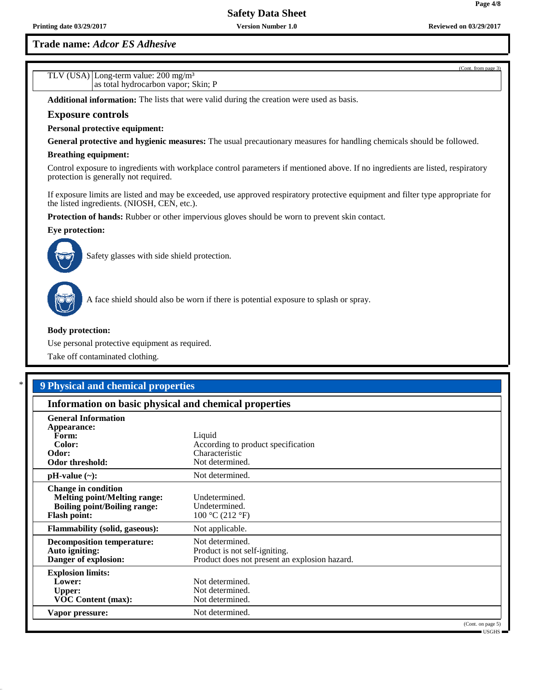**Trade name:** *Adcor ES Adhesive*

TLV (USA) Long-term value: 200 mg/m³

as total hydrocarbon vapor; Skin; P

| Additional information: The lists that were valid during the creation were used as basis. |                                                                                                                                  |
|-------------------------------------------------------------------------------------------|----------------------------------------------------------------------------------------------------------------------------------|
| <b>Exposure controls</b>                                                                  |                                                                                                                                  |
| <b>Personal protective equipment:</b>                                                     |                                                                                                                                  |
|                                                                                           | General protective and hygienic measures: The usual precautionary measures for handling chemicals should be followed.            |
| <b>Breathing equipment:</b>                                                               |                                                                                                                                  |
| protection is generally not required.                                                     | Control exposure to ingredients with workplace control parameters if mentioned above. If no ingredients are listed, respiratory  |
| the listed ingredients. (NIOSH, CEN, etc.).                                               | If exposure limits are listed and may be exceeded, use approved respiratory protective equipment and filter type appropriate for |
|                                                                                           | <b>Protection of hands:</b> Rubber or other impervious gloves should be worn to prevent skin contact.                            |
| Eye protection:                                                                           |                                                                                                                                  |
| Safety glasses with side shield protection.                                               |                                                                                                                                  |
|                                                                                           | A face shield should also be worn if there is potential exposure to splash or spray.                                             |
| <b>Body protection:</b>                                                                   |                                                                                                                                  |
|                                                                                           |                                                                                                                                  |
| Use personal protective equipment as required.                                            |                                                                                                                                  |
| Take off contaminated clothing.                                                           |                                                                                                                                  |
|                                                                                           |                                                                                                                                  |
| <b>9 Physical and chemical properties</b>                                                 |                                                                                                                                  |
|                                                                                           |                                                                                                                                  |
| Information on basic physical and chemical properties                                     |                                                                                                                                  |
| <b>General Information</b><br>Appearance:                                                 |                                                                                                                                  |
| Form:                                                                                     | Liquid                                                                                                                           |
| Color:<br>Odor:                                                                           | According to product specification<br>Characteristic                                                                             |
| Odor threshold:                                                                           | Not determined.                                                                                                                  |
| $pH-value (\sim):$                                                                        | Not determined.                                                                                                                  |
| <b>Change in condition</b>                                                                |                                                                                                                                  |
| Melting point/Melting range:                                                              | Undetermined.                                                                                                                    |
| <b>Boiling point/Boiling range:</b>                                                       | Undetermined.                                                                                                                    |
| <b>Flash point:</b>                                                                       | 100 °C (212 °F)                                                                                                                  |
| <b>Flammability (solid, gaseous):</b>                                                     | Not applicable.                                                                                                                  |
| <b>Decomposition temperature:</b>                                                         | Not determined.                                                                                                                  |
| Auto igniting:<br>Danger of explosion:                                                    | Product is not self-igniting.<br>Product does not present an explosion hazard.                                                   |
|                                                                                           |                                                                                                                                  |
| <b>Explosion limits:</b><br>Lower:                                                        | Not determined.                                                                                                                  |
| <b>Upper:</b>                                                                             | Not determined.                                                                                                                  |
| <b>VOC Content (max):</b>                                                                 | Not determined.                                                                                                                  |
| Vapor pressure:                                                                           | Not determined.<br>(Cont. on page 5)                                                                                             |

(Cont. from page 3)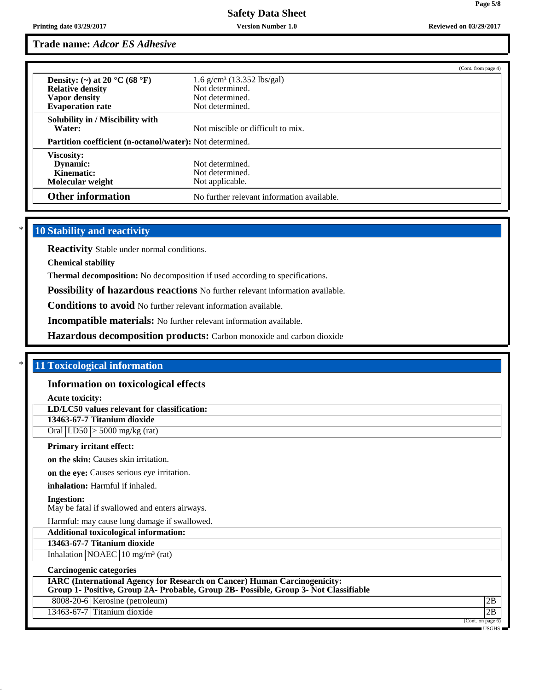### **Trade name:** *Adcor ES Adhesive*

|                                                                 |                                            | (Cont. from page 4) |
|-----------------------------------------------------------------|--------------------------------------------|---------------------|
| Density: (~) at 20 $^{\circ}$ C (68 $^{\circ}$ F)               | $1.6 \text{ g/cm}^3$ (13.352 lbs/gal)      |                     |
| <b>Relative density</b>                                         | Not determined.                            |                     |
| Vapor density                                                   | Not determined.                            |                     |
| <b>Evaporation rate</b>                                         | Not determined.                            |                     |
| Solubility in / Miscibility with                                |                                            |                     |
| Water:                                                          | Not miscible or difficult to mix.          |                     |
| <b>Partition coefficient (n-octanol/water):</b> Not determined. |                                            |                     |
| <b>Viscosity:</b>                                               |                                            |                     |
| Dynamic:                                                        | Not determined.                            |                     |
| Kinematic:                                                      | Not determined.                            |                     |
| Molecular weight                                                | Not applicable.                            |                     |
| <b>Other information</b>                                        | No further relevant information available. |                     |

# **10 Stability and reactivity**

**Reactivity** Stable under normal conditions.

**Chemical stability**

**Thermal decomposition:** No decomposition if used according to specifications.

**Possibility of hazardous reactions** No further relevant information available.

**Conditions to avoid** No further relevant information available.

**Incompatible materials:** No further relevant information available.

**Hazardous decomposition products:** Carbon monoxide and carbon dioxide

### \* **11 Toxicological information**

#### **Information on toxicological effects**

**Acute toxicity:**

**LD/LC50 values relevant for classification:**

**13463-67-7 Titanium dioxide**

Oral LD50 > 5000 mg/kg (rat)

#### **Primary irritant effect:**

**on the skin:** Causes skin irritation.

**on the eye:** Causes serious eye irritation.

**inhalation:** Harmful if inhaled.

**Ingestion:**

May be fatal if swallowed and enters airways.

Harmful: may cause lung damage if swallowed.

**Additional toxicological information: 13463-67-7 Titanium dioxide**

Inhalation  $NOAEC$  10 mg/m<sup>3</sup> (rat)

### **Carcinogenic categories**

| <b>IARC</b> (International Agency for Research on Cancer) Human Carcinogenicity:<br>Group 1- Positive, Group 2A- Probable, Group 2B- Possible, Group 3- Not Classifiable |                                |     |  |
|--------------------------------------------------------------------------------------------------------------------------------------------------------------------------|--------------------------------|-----|--|
|                                                                                                                                                                          | 8008-20-6 Kerosine (petroleum) | 12B |  |
|                                                                                                                                                                          | 13463-67-7 Titanium dioxide    | 2B  |  |

(Cont. on page 6) USGHS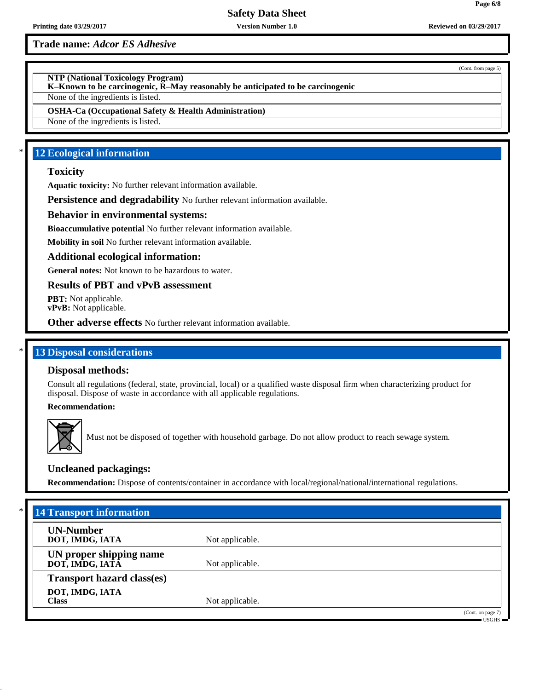**Printing date 03/29/2017 Version Number 1.0 Reviewed on 03/29/2017**

**Trade name:** *Adcor ES Adhesive*

(Cont. from page 5)

**NTP (National Toxicology Program)**

**K–Known to be carcinogenic, R–May reasonably be anticipated to be carcinogenic**

None of the ingredients is listed.

**OSHA-Ca (Occupational Safety & Health Administration)**

None of the ingredients is listed.

# **12 Ecological information**

### **Toxicity**

**Aquatic toxicity:** No further relevant information available.

**Persistence and degradability** No further relevant information available.

### **Behavior in environmental systems:**

**Bioaccumulative potential** No further relevant information available.

**Mobility in soil** No further relevant information available.

### **Additional ecological information:**

**General notes:** Not known to be hazardous to water.

**Results of PBT and vPvB assessment**

**PBT:** Not applicable. **vPvB:** Not applicable.

**Other adverse effects** No further relevant information available.

### **13 Disposal considerations**

### **Disposal methods:**

Consult all regulations (federal, state, provincial, local) or a qualified waste disposal firm when characterizing product for disposal. Dispose of waste in accordance with all applicable regulations.

**Recommendation:**



Must not be disposed of together with household garbage. Do not allow product to reach sewage system.

### **Uncleaned packagings:**

**Recommendation:** Dispose of contents/container in accordance with local/regional/national/international regulations.

| $*$<br><b>14 Transport information</b>     |                 |                                |
|--------------------------------------------|-----------------|--------------------------------|
| <b>UN-Number</b><br>DOT, IMDG, IATA        | Not applicable. |                                |
| UN proper shipping name<br>DOT, IMDG, IATĀ | Not applicable. |                                |
| <b>Transport hazard class(es)</b>          |                 |                                |
| DOT, IMDG, IATA<br><b>Class</b>            | Not applicable. |                                |
|                                            |                 | (Cont. on page 7)<br>■ USGHS ■ |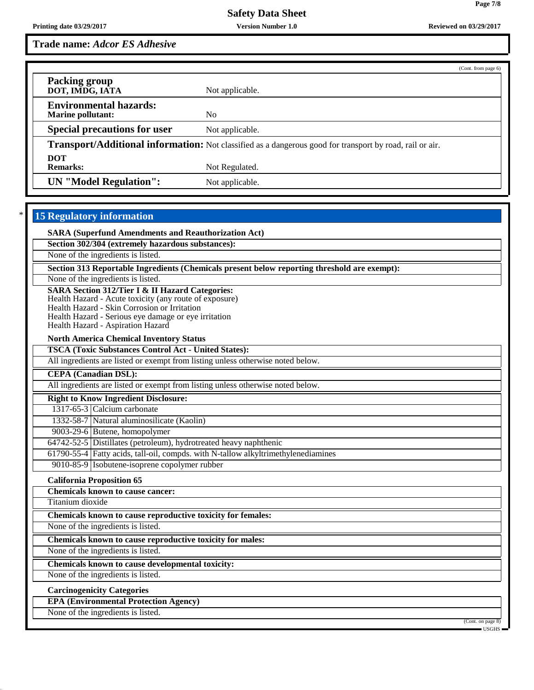**Page 7/8**

**Trade name:** *Adcor ES Adhesive*

|                                                                                                                 |                 | (Cont. from page 6) |
|-----------------------------------------------------------------------------------------------------------------|-----------------|---------------------|
| <b>Packing group</b><br>DOT, IMDG, IATA                                                                         | Not applicable. |                     |
| <b>Environmental hazards:</b><br><b>Marine pollutant:</b>                                                       | No.             |                     |
|                                                                                                                 |                 |                     |
| <b>Special precautions for user</b>                                                                             | Not applicable. |                     |
| <b>Transport/Additional information:</b> Not classified as a dangerous good for transport by road, rail or air. |                 |                     |
| <b>DOT</b>                                                                                                      |                 |                     |
| <b>Remarks:</b>                                                                                                 | Not Regulated.  |                     |
| <b>UN</b> "Model Regulation":                                                                                   | Not applicable. |                     |

# **15 Regulatory information**

**SARA (Superfund Amendments and Reauthorization Act)**

**Section 302/304 (extremely hazardous substances):**

None of the ingredients is listed.

**Section 313 Reportable Ingredients (Chemicals present below reporting threshold are exempt):**

None of the ingredients is listed.

#### **SARA Section 312/Tier I & II Hazard Categories:**

Health Hazard - Acute toxicity (any route of exposure)

Health Hazard - Skin Corrosion or Irritation

Health Hazard - Serious eye damage or eye irritation

Health Hazard - Aspiration Hazard

**North America Chemical Inventory Status**

**TSCA (Toxic Substances Control Act - United States):**

All ingredients are listed or exempt from listing unless otherwise noted below.

**CEPA (Canadian DSL):**

All ingredients are listed or exempt from listing unless otherwise noted below.

**Right to Know Ingredient Disclosure:**

1317-65-3 Calcium carbonate

1332-58-7 Natural aluminosilicate (Kaolin)

9003-29-6 Butene, homopolymer

64742-52-5 Distillates (petroleum), hydrotreated heavy naphthenic

61790-55-4 Fatty acids, tall-oil, compds. with N-tallow alkyltrimethylenediamines

9010-85-9 Isobutene-isoprene copolymer rubber

**California Proposition 65**

**Chemicals known to cause cancer:**

Titanium dioxide

**Chemicals known to cause reproductive toxicity for females:**

None of the ingredients is listed.

**Chemicals known to cause reproductive toxicity for males:**

None of the ingredients is listed.

**Chemicals known to cause developmental toxicity:**

None of the ingredients is listed.

### **Carcinogenicity Categories**

**EPA (Environmental Protection Agency)**

None of the ingredients is listed.

(Cont. on page 8)